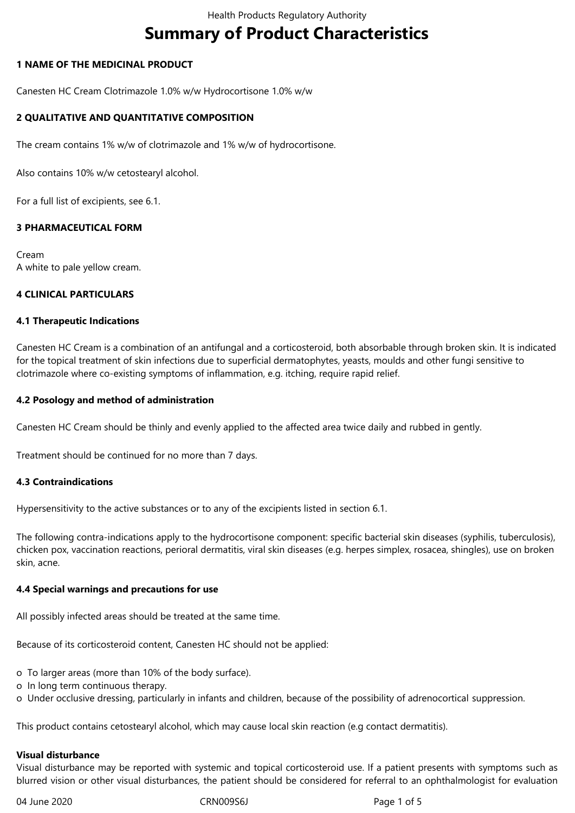# **Summary of Product Characteristics**

## **1 NAME OF THE MEDICINAL PRODUCT**

Canesten HC Cream Clotrimazole 1.0% w/w Hydrocortisone 1.0% w/w

## **2 QUALITATIVE AND QUANTITATIVE COMPOSITION**

The cream contains 1% w/w of clotrimazole and 1% w/w of hydrocortisone.

Also contains 10% w/w cetostearyl alcohol.

For a full list of excipients, see 6.1.

## **3 PHARMACEUTICAL FORM**

Cream A white to pale yellow cream.

## **4 CLINICAL PARTICULARS**

#### **4.1 Therapeutic Indications**

Canesten HC Cream is a combination of an antifungal and a corticosteroid, both absorbable through broken skin. It is indicated for the topical treatment of skin infections due to superficial dermatophytes, yeasts, moulds and other fungi sensitive to clotrimazole where co-existing symptoms of inflammation, e.g. itching, require rapid relief.

## **4.2 Posology and method of administration**

Canesten HC Cream should be thinly and evenly applied to the affected area twice daily and rubbed in gently.

Treatment should be continued for no more than 7 days.

## **4.3 Contraindications**

Hypersensitivity to the active substances or to any of the excipients listed in section 6.1.

The following contra-indications apply to the hydrocortisone component: specific bacterial skin diseases (syphilis, tuberculosis), chicken pox, vaccination reactions, perioral dermatitis, viral skin diseases (e.g. herpes simplex, rosacea, shingles), use on broken skin, acne.

## **4.4 Special warnings and precautions for use**

All possibly infected areas should be treated at the same time.

Because of its corticosteroid content, Canesten HC should not be applied:

o To larger areas (more than 10% of the body surface).

- o In long term continuous therapy.
- o Under occlusive dressing, particularly in infants and children, because of the possibility of adrenocortical suppression.

This product contains cetostearyl alcohol, which may cause local skin reaction (e.g contact dermatitis).

## **Visual disturbance**

Visual disturbance may be reported with systemic and topical corticosteroid use. If a patient presents with symptoms such as blurred vision or other visual disturbances, the patient should be considered for referral to an ophthalmologist for evaluation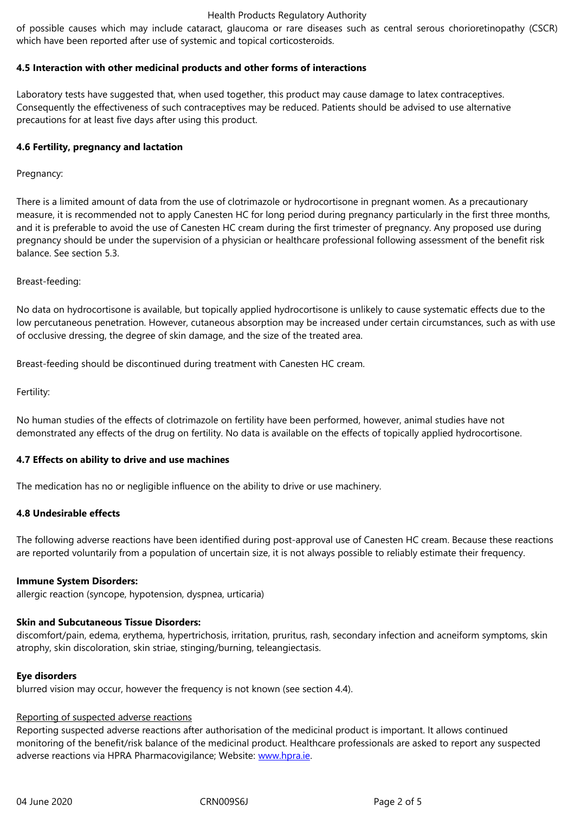#### **4.5 Interaction with other medicinal products and other forms of interactions**

Laboratory tests have suggested that, when used together, this product may cause damage to latex contraceptives. Consequently the effectiveness of such contraceptives may be reduced. Patients should be advised to use alternative precautions for at least five days after using this product.

## **4.6 Fertility, pregnancy and lactation**

Pregnancy:

There is a limited amount of data from the use of clotrimazole or hydrocortisone in pregnant women. As a precautionary measure, it is recommended not to apply Canesten HC for long period during pregnancy particularly in the first three months, and it is preferable to avoid the use of Canesten HC cream during the first trimester of pregnancy. Any proposed use during pregnancy should be under the supervision of a physician or healthcare professional following assessment of the benefit risk balance. See section 5.3.

Breast-feeding:

No data on hydrocortisone is available, but topically applied hydrocortisone is unlikely to cause systematic effects due to the low percutaneous penetration. However, cutaneous absorption may be increased under certain circumstances, such as with use of occlusive dressing, the degree of skin damage, and the size of the treated area.

Breast-feeding should be discontinued during treatment with Canesten HC cream.

Fertility:

No human studies of the effects of clotrimazole on fertility have been performed, however, animal studies have not demonstrated any effects of the drug on fertility. No data is available on the effects of topically applied hydrocortisone.

## **4.7 Effects on ability to drive and use machines**

The medication has no or negligible influence on the ability to drive or use machinery.

## **4.8 Undesirable effects**

The following adverse reactions have been identified during post-approval use of Canesten HC cream. Because these reactions are reported voluntarily from a population of uncertain size, it is not always possible to reliably estimate their frequency.

## **Immune System Disorders:**

allergic reaction (syncope, hypotension, dyspnea, urticaria)

## **Skin and Subcutaneous Tissue Disorders:**

discomfort/pain, edema, erythema, hypertrichosis, irritation, pruritus, rash, secondary infection and acneiform symptoms, skin atrophy, skin discoloration, skin striae, stinging/burning, teleangiectasis.

## **Eye disorders**

blurred vision may occur, however the frequency is not known (see section 4.4).

## Reporting of suspected adverse reactions

Reporting suspected adverse reactions after authorisation of the medicinal product is important. It allows continued monitoring of the benefit/risk balance of the medicinal product. Healthcare professionals are asked to report any suspected adverse reactions via HPRA Pharmacovigilance; Website: www.hpra.ie.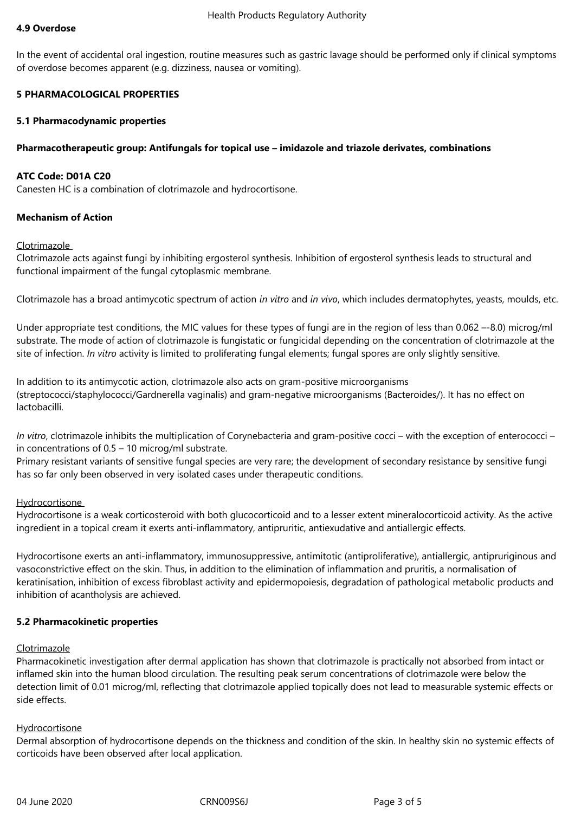#### **4.9 Overdose**

In the event of accidental oral ingestion, routine measures such as gastric lavage should be performed only if clinical symptoms of overdose becomes apparent (e.g. dizziness, nausea or vomiting).

## **5 PHARMACOLOGICAL PROPERTIES**

## **5.1 Pharmacodynamic properties**

## **Pharmacotherapeutic group: Antifungals for topical use – imidazole and triazole derivates, combinations**

## **ATC Code: D01A C20**

Canesten HC is a combination of clotrimazole and hydrocortisone.

## **Mechanism of Action**

## Clotrimazole

Clotrimazole acts against fungi by inhibiting ergosterol synthesis. Inhibition of ergosterol synthesis leads to structural and functional impairment of the fungal cytoplasmic membrane.

Clotrimazole has a broad antimycotic spectrum of action *in vitro* and *in vivo*, which includes dermatophytes, yeasts, moulds, etc.

Under appropriate test conditions, the MIC values for these types of fungi are in the region of less than 0.062 –-8.0) microg/ml substrate. The mode of action of clotrimazole is fungistatic or fungicidal depending on the concentration of clotrimazole at the site of infection. *In vitro* activity is limited to proliferating fungal elements; fungal spores are only slightly sensitive.

In addition to its antimycotic action, clotrimazole also acts on gram-positive microorganisms (streptococci/staphylococci/Gardnerella vaginalis) and gram-negative microorganisms (Bacteroides/). It has no effect on lactobacilli.

*In vitro*, clotrimazole inhibits the multiplication of Corynebacteria and gram-positive cocci – with the exception of enterococci – in concentrations of 0.5 – 10 microg/ml substrate.

Primary resistant variants of sensitive fungal species are very rare; the development of secondary resistance by sensitive fungi has so far only been observed in very isolated cases under therapeutic conditions.

## Hydrocortisone

Hydrocortisone is a weak corticosteroid with both glucocorticoid and to a lesser extent mineralocorticoid activity. As the active ingredient in a topical cream it exerts anti-inflammatory, antipruritic, antiexudative and antiallergic effects.

Hydrocortisone exerts an anti-inflammatory, immunosuppressive, antimitotic (antiproliferative), antiallergic, antipruriginous and vasoconstrictive effect on the skin. Thus, in addition to the elimination of inflammation and pruritis, a normalisation of keratinisation, inhibition of excess fibroblast activity and epidermopoiesis, degradation of pathological metabolic products and inhibition of acantholysis are achieved.

## **5.2 Pharmacokinetic properties**

## Clotrimazole

Pharmacokinetic investigation after dermal application has shown that clotrimazole is practically not absorbed from intact or inflamed skin into the human blood circulation. The resulting peak serum concentrations of clotrimazole were below the detection limit of 0.01 microg/ml, reflecting that clotrimazole applied topically does not lead to measurable systemic effects or side effects.

## Hydrocortisone

Dermal absorption of hydrocortisone depends on the thickness and condition of the skin. In healthy skin no systemic effects of corticoids have been observed after local application.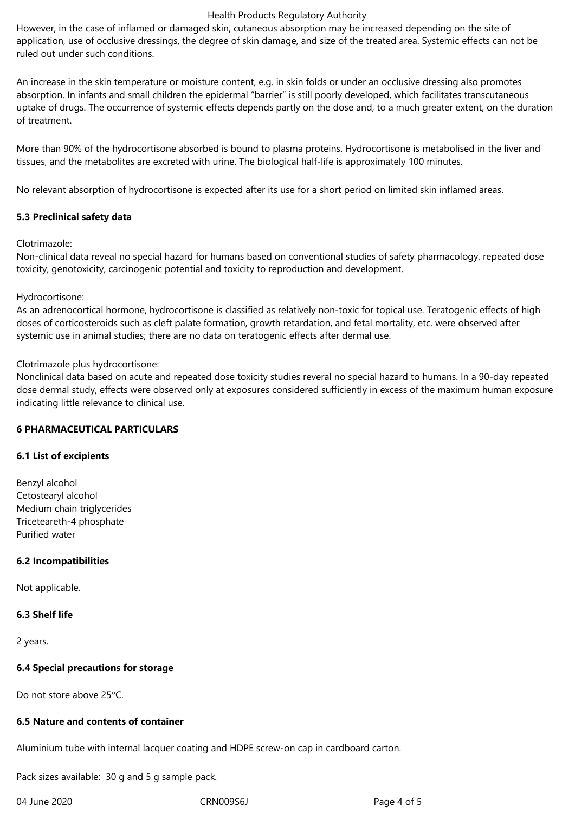#### Health Products Regulatory Authority

However, in the case of inflamed or damaged skin, cutaneous absorption may be increased depending on the site of application, use of occlusive dressings, the degree of skin damage, and size of the treated area. Systemic effects can not be ruled out under such conditions.

An increase in the skin temperature or moisture content, e.g. in skin folds or under an occlusive dressing also promotes absorption. In infants and small children the epidermal "barrier" is still poorly developed, which facilitates transcutaneous uptake of drugs. The occurrence of systemic effects depends partly on the dose and, to a much greater extent, on the duration of treatment.

More than 90% of the hydrocortisone absorbed is bound to plasma proteins. Hydrocortisone is metabolised in the liver and tissues, and the metabolites are excreted with urine. The biological half-life is approximately 100 minutes.

No relevant absorption of hydrocortisone is expected after its use for a short period on limited skin inflamed areas.

## **5.3 Preclinical safety data**

Clotrimazole:

Non-clinical data reveal no special hazard for humans based on conventional studies of safety pharmacology, repeated dose toxicity, genotoxicity, carcinogenic potential and toxicity to reproduction and development.

## Hydrocortisone:

As an adrenocortical hormone, hydrocortisone is classified as relatively non-toxic for topical use. Teratogenic effects of high doses of corticosteroids such as cleft palate formation, growth retardation, and fetal mortality, etc. were observed after systemic use in animal studies; there are no data on teratogenic effects after dermal use.

## Clotrimazole plus hydrocortisone:

Nonclinical data based on acute and repeated dose toxicity studies reveral no special hazard to humans. In a 90-day repeated dose dermal study, effects were observed only at exposures considered sufficiently in excess of the maximum human exposure indicating little relevance to clinical use.

# **6 PHARMACEUTICAL PARTICULARS**

## **6.1 List of excipients**

Benzyl alcohol Cetostearyl alcohol Medium chain triglycerides Triceteareth-4 phosphate Purified water

# **6.2 Incompatibilities**

Not applicable.

## **6.3 Shelf life**

2 years.

# **6.4 Special precautions for storage**

Do not store above 25°C.

## **6.5 Nature and contents of container**

Aluminium tube with internal lacquer coating and HDPE screw-on cap in cardboard carton.

Pack sizes available: 30 g and 5 g sample pack.

04 June 2020 CRN009S6J Page 4 of 5